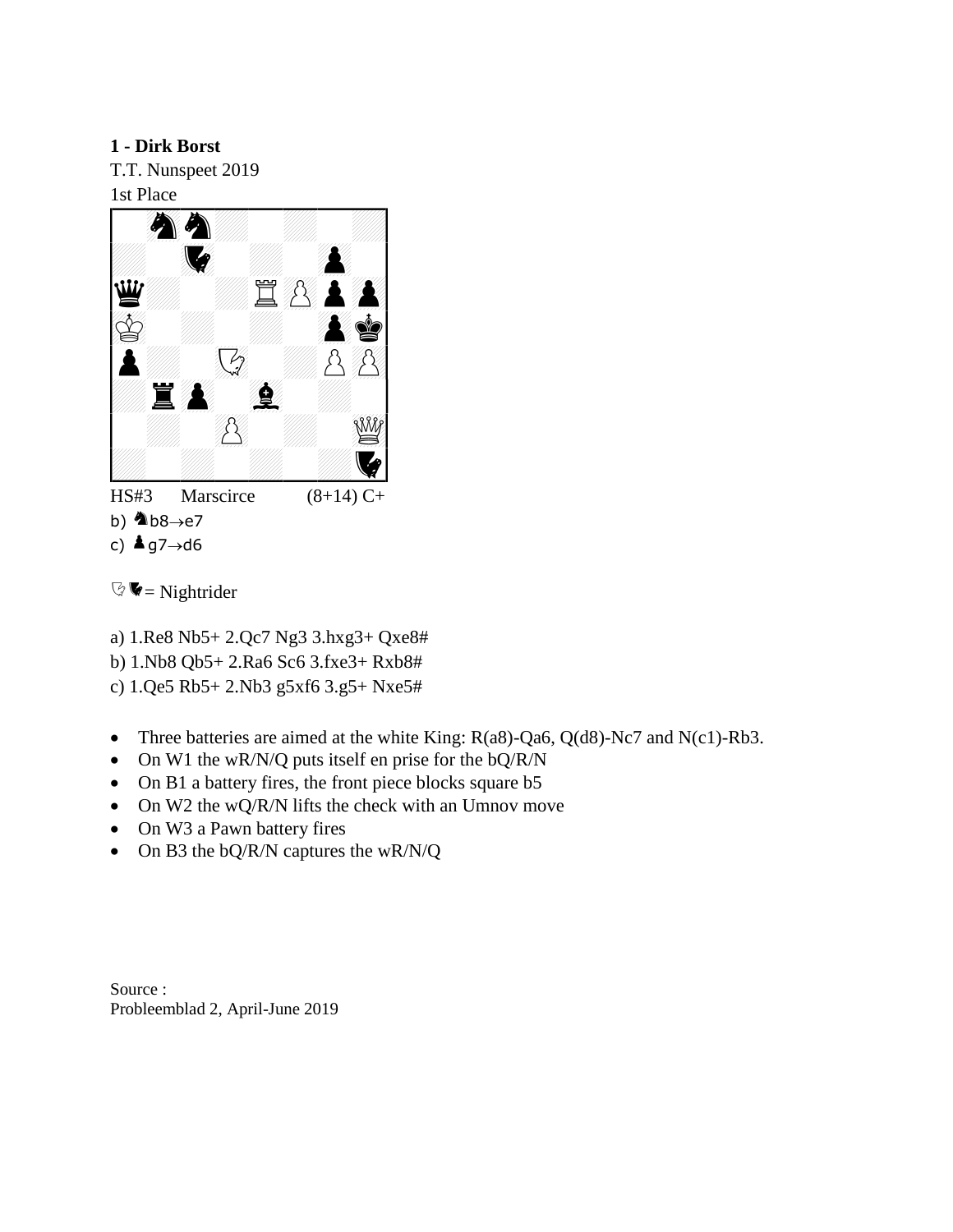**1 - Dirk Borst** T.T. Nunspeet 2019 1st Place



- b)  $\triangle$  b8 $\rightarrow$ e7
- c)  $\triangle$  g7 $\rightarrow$ d6

 $\mathbb{Q}$   $\blacktriangleright$  = Nightrider

- a) 1.Re8 Nb5+ 2.Qc7 Ng3 3.hxg3+ Qxe8#
- b) 1.Nb8 Qb5+ 2.Ra6 Sc6 3.fxe3+ Rxb8#
- c) 1.Qe5 Rb5+ 2.Nb3 g5xf6 3.g5+ Nxe5#
- Three batteries are aimed at the white King:  $R(a8)$ -Qa6, Q(d8)-Nc7 and N(c1)-Rb3.
- On W1 the wR/N/Q puts itself en prise for the bQ/R/N
- On B1 a battery fires, the front piece blocks square b5
- On W2 the wQ/R/N lifts the check with an Umnov move
- On W3 a Pawn battery fires
- On B3 the bQ/R/N captures the wR/N/Q

Source : Probleemblad 2, April-June 2019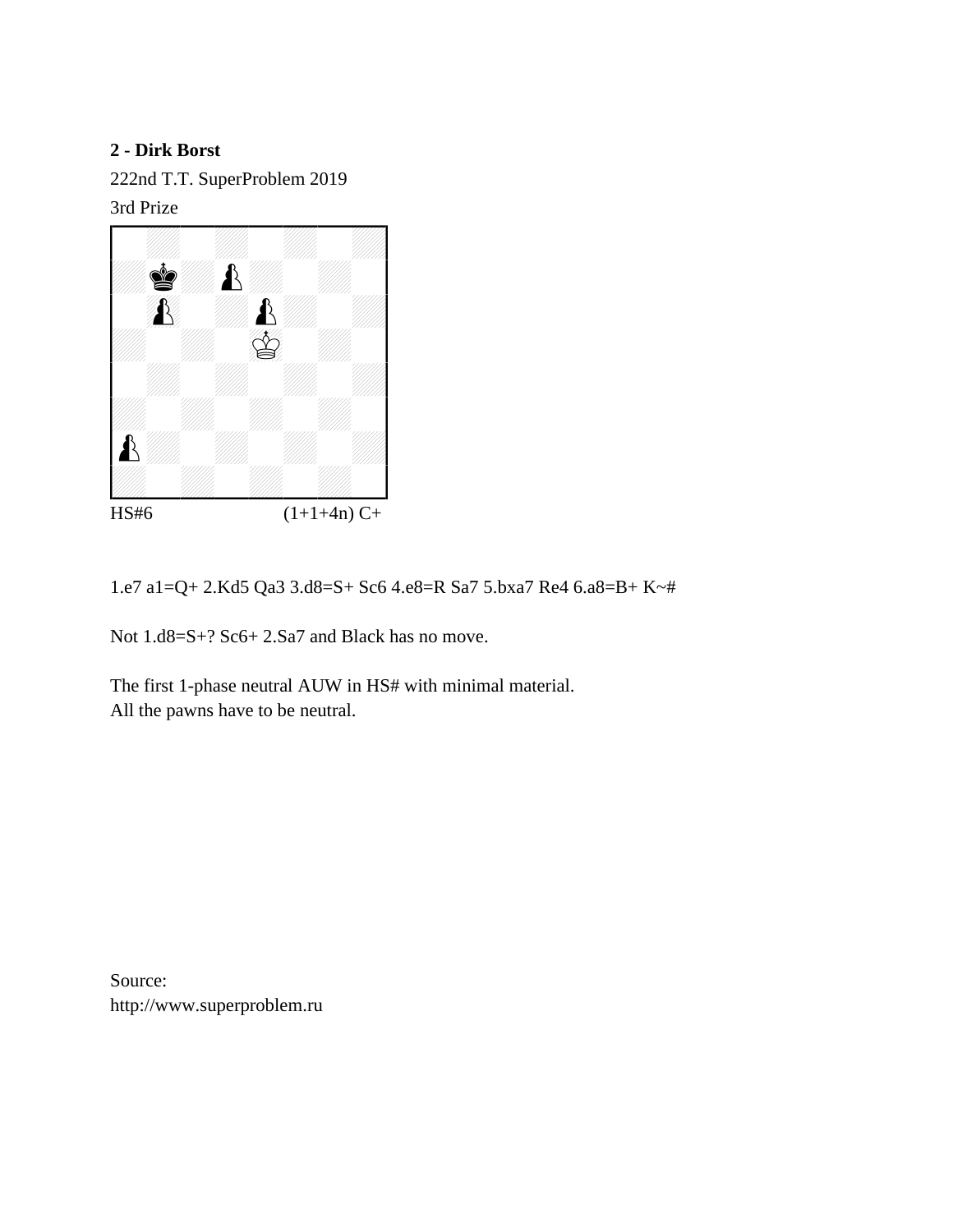222nd T.T. SuperProblem 2019 3rd Prize



HS#6  $(1+1+4n) C+$ 

1.e7 a1=Q+ 2.Kd5 Qa3 3.d8=S+ Sc6 4.e8=R Sa7 5.bxa7 Re4 6.a8=B+ K~#

Not 1.d8=S+? Sc6+ 2.Sa7 and Black has no move.

The first 1-phase neutral AUW in HS# with minimal material. All the pawns have to be neutral.

Source: http://www.superproblem.ru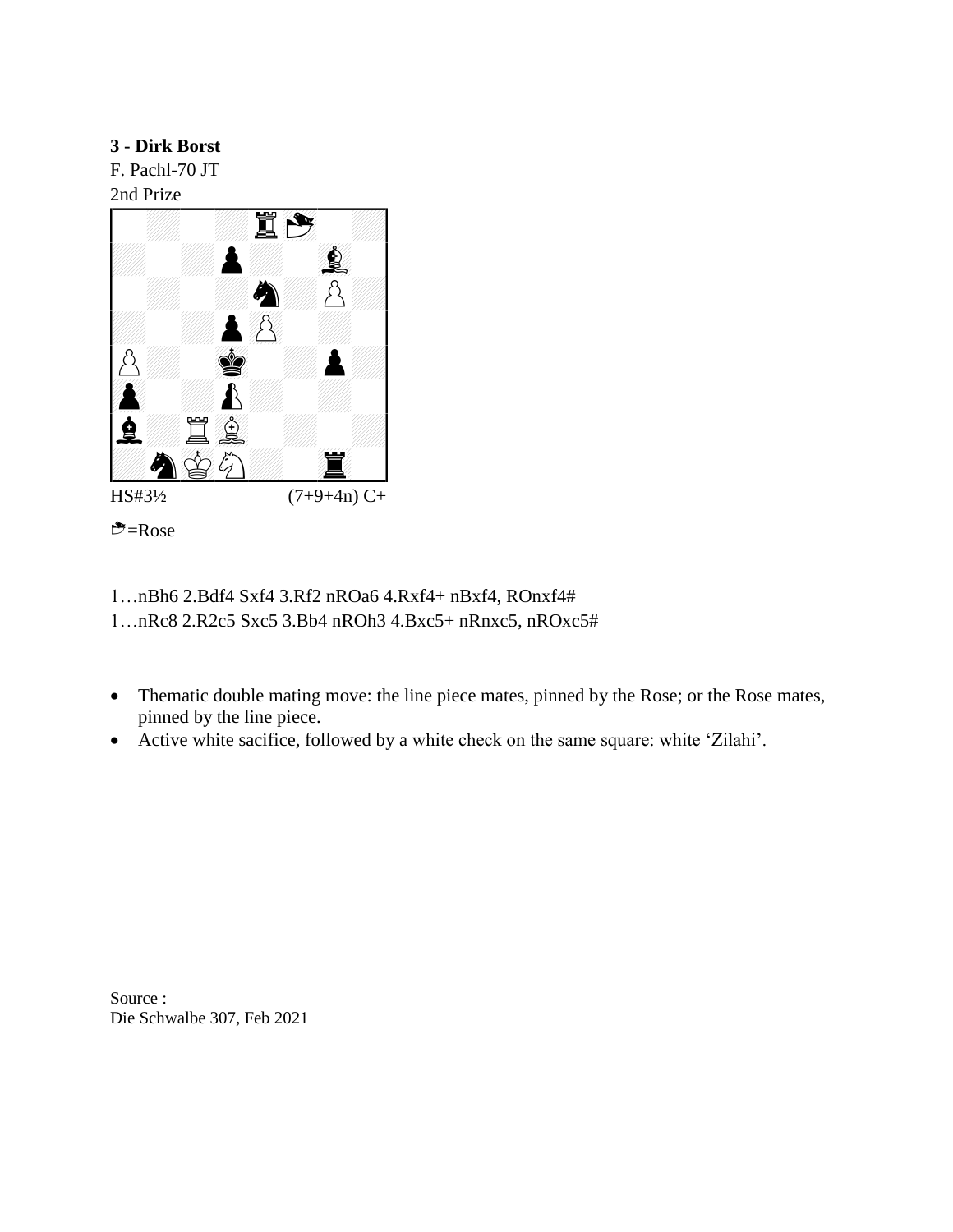F. Pachl-70 JT 2nd Prize





- 1…nBh6 2.Bdf4 Sxf4 3.Rf2 nROa6 4.Rxf4+ nBxf4, ROnxf4# 1…nRc8 2.R2c5 Sxc5 3.Bb4 nROh3 4.Bxc5+ nRnxc5, nROxc5#
- Thematic double mating move: the line piece mates, pinned by the Rose; or the Rose mates, pinned by the line piece.
- Active white sacifice, followed by a white check on the same square: white 'Zilahi'.

Source : Die Schwalbe 307, Feb 2021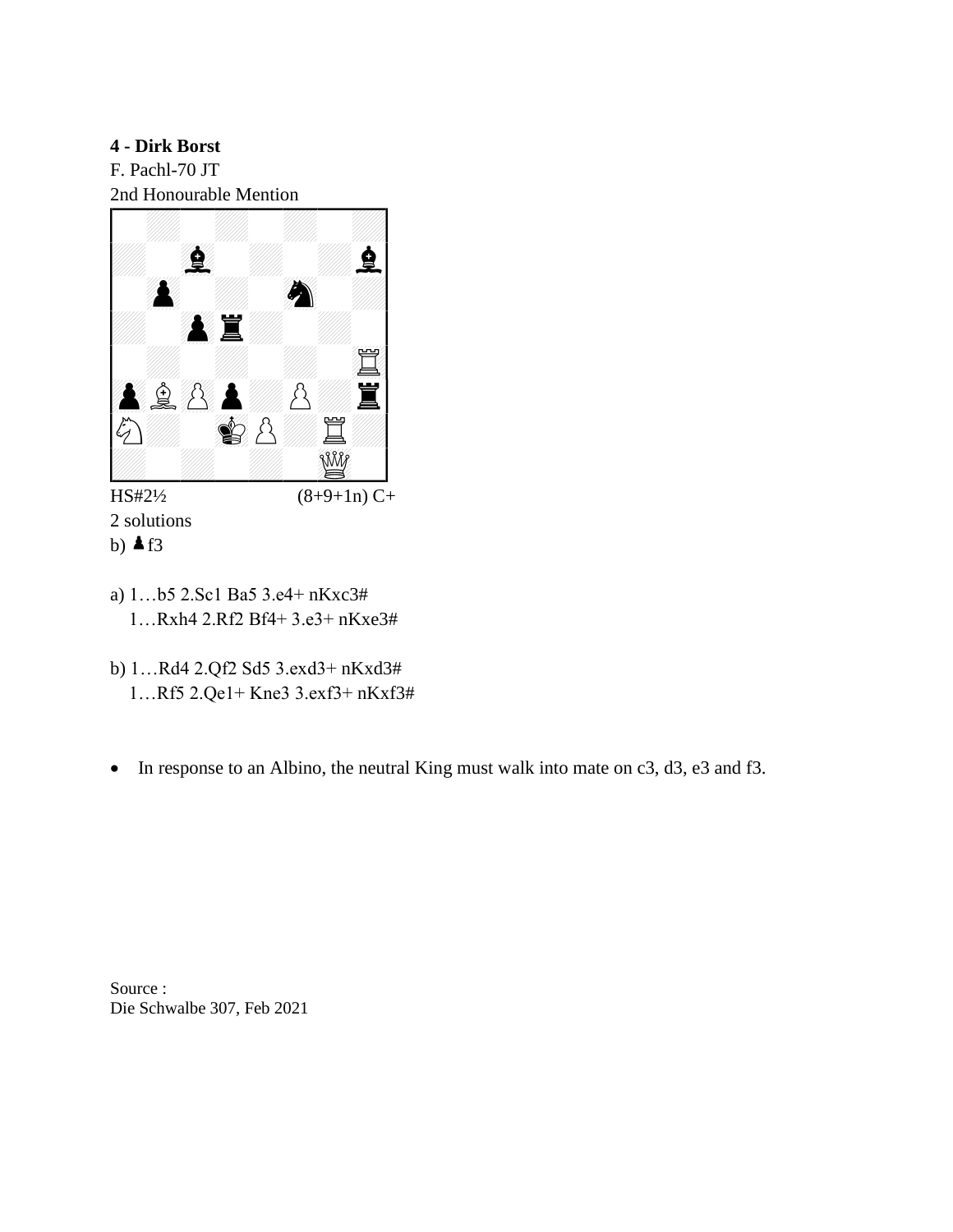F. Pachl-70 JT 2nd Honourable Mention



2 solutions b)  $\triangle$  f3

- 
- a) 1…b5 2.Sc1 Ba5 3.e4+ nKxc3# 1…Rxh4 2.Rf2 Bf4+ 3.e3+ nKxe3#
- b) 1…Rd4 2.Qf2 Sd5 3.exd3+ nKxd3# 1…Rf5 2.Qe1+ Kne3 3.exf3+ nKxf3#
- In response to an Albino, the neutral King must walk into mate on c3, d3, e3 and f3.

Source : Die Schwalbe 307, Feb 2021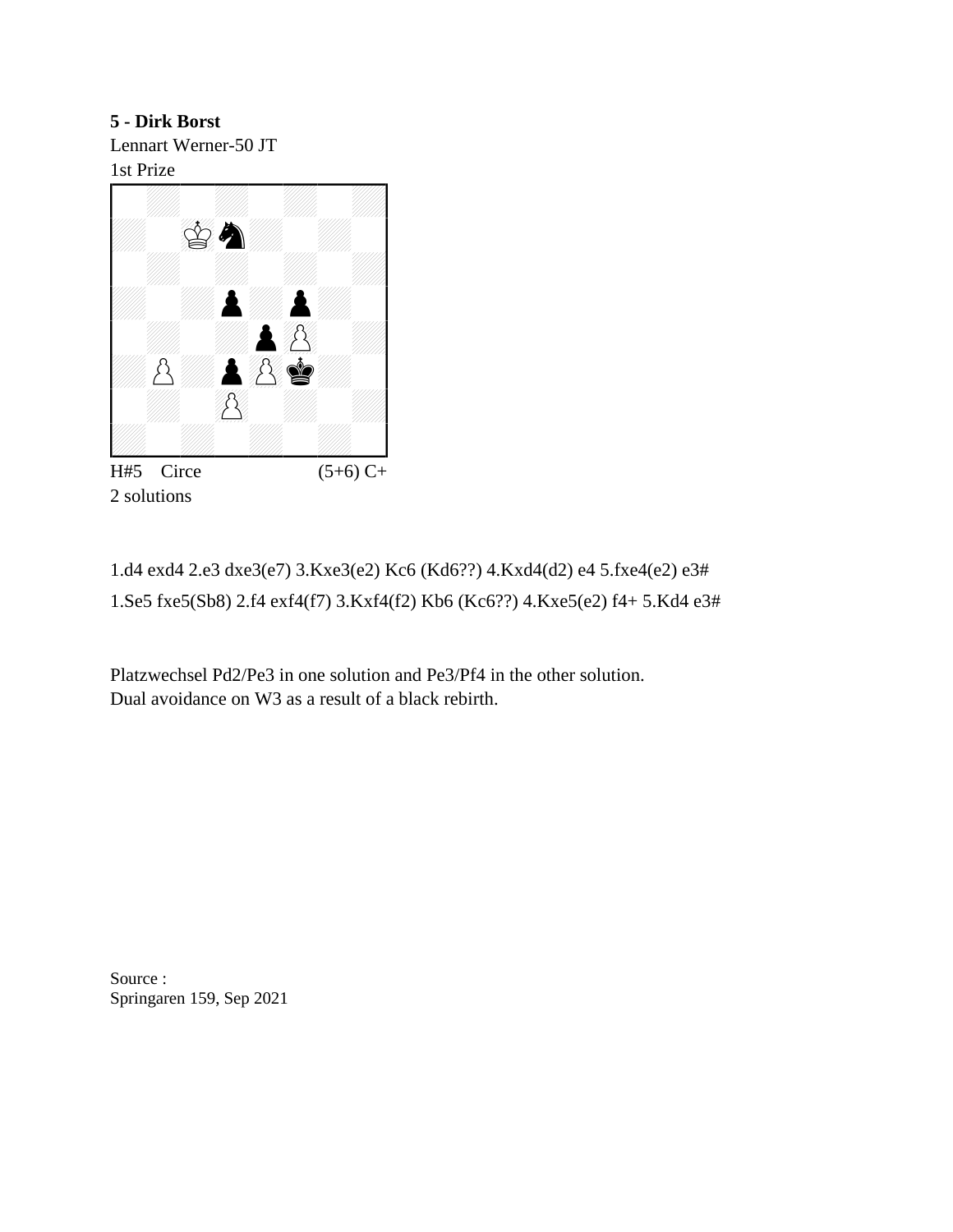**5 - Dirk Borst** Lennart Werner-50 JT 1st Prize



2 solutions

1.d4 exd4 2.e3 dxe3(e7) 3.Kxe3(e2) Kc6 (Kd6??) 4.Kxd4(d2) e4 5.fxe4(e2) e3# 1.Se5 fxe5(Sb8) 2.f4 exf4(f7) 3.Kxf4(f2) Kb6 (Kc6??) 4.Kxe5(e2) f4+ 5.Kd4 e3#

Platzwechsel Pd2/Pe3 in one solution and Pe3/Pf4 in the other solution. Dual avoidance on W3 as a result of a black rebirth.

Source : Springaren 159, Sep 2021